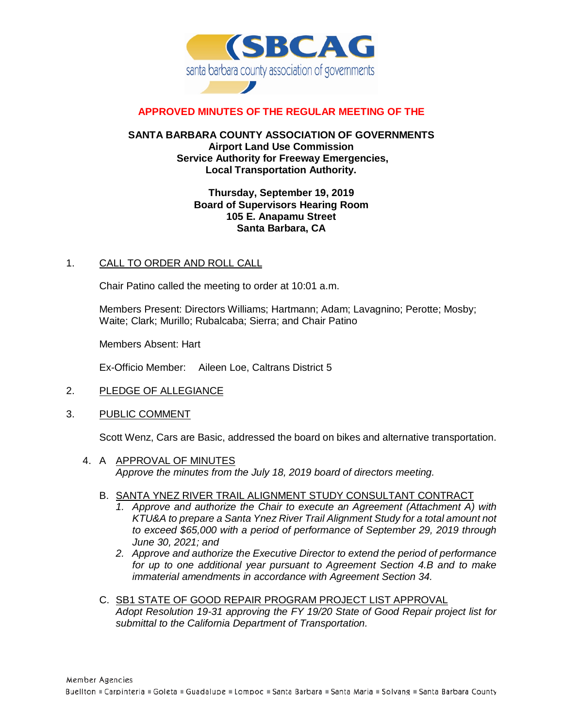

# **APPROVED MINUTES OF THE REGULAR MEETING OF THE**

### **SANTA BARBARA COUNTY ASSOCIATION OF GOVERNMENTS Airport Land Use Commission Service Authority for Freeway Emergencies, Local Transportation Authority.**

### **Thursday, September 19, 2019 Board of Supervisors Hearing Room 105 E. Anapamu Street Santa Barbara, CA**

### 1. CALL TO ORDER AND ROLL CALL

Chair Patino called the meeting to order at 10:01 a.m.

Members Present: Directors Williams; Hartmann; Adam; Lavagnino; Perotte; Mosby; Waite; Clark; Murillo; Rubalcaba; Sierra; and Chair Patino

Members Absent: Hart

Ex-Officio Member: Aileen Loe, Caltrans District 5

- 2. PLEDGE OF ALLEGIANCE
- 3. PUBLIC COMMENT

Scott Wenz, Cars are Basic, addressed the board on bikes and alternative transportation.

- 4. A APPROVAL OF MINUTES *Approve the minutes from the July 18, 2019 board of directors meeting.*
	- B. SANTA YNEZ RIVER TRAIL ALIGNMENT STUDY CONSULTANT CONTRACT
		- *1. Approve and authorize the Chair to execute an Agreement (Attachment A) with KTU&A to prepare a Santa Ynez River Trail Alignment Study for a total amount not to exceed \$65,000 with a period of performance of September 29, 2019 through June 30, 2021; and*
		- *2. Approve and authorize the Executive Director to extend the period of performance for up to one additional year pursuant to Agreement Section 4.B and to make immaterial amendments in accordance with Agreement Section 34.*
	- C. SB1 STATE OF GOOD REPAIR PROGRAM PROJECT LIST APPROVAL *Adopt Resolution 19-31 approving the FY 19/20 State of Good Repair project list for submittal to the California Department of Transportation.*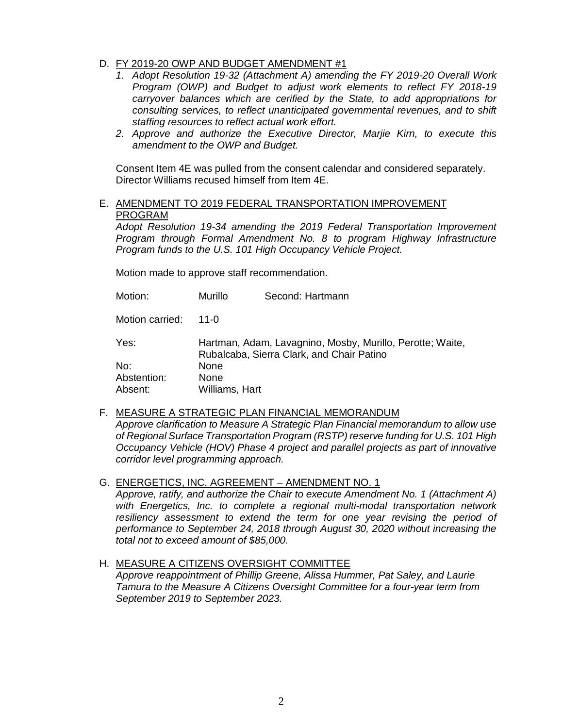- D. FY 2019-20 OWP AND BUDGET AMENDMENT #1
	- *1. Adopt Resolution 19-32 (Attachment A) amending the FY 2019-20 Overall Work Program (OWP) and Budget to adjust work elements to reflect FY 2018-19 carryover balances which are cerified by the State, to add appropriations for consulting services, to reflect unanticipated governmental revenues, and to shift staffing resources to reflect actual work effort.*
	- *2. Approve and authorize the Executive Director, Marjie Kirn, to execute this amendment to the OWP and Budget.*

Consent Item 4E was pulled from the consent calendar and considered separately. Director Williams recused himself from Item 4E.

E. AMENDMENT TO 2019 FEDERAL TRANSPORTATION IMPROVEMENT PROGRAM

*Adopt Resolution 19-34 amending the 2019 Federal Transportation Improvement Program through Formal Amendment No. 8 to program Highway Infrastructure Program funds to the U.S. 101 High Occupancy Vehicle Project.*

Motion made to approve staff recommendation.

| Motion:         | Murillo                                                                                                | Second: Hartmann |
|-----------------|--------------------------------------------------------------------------------------------------------|------------------|
| Motion carried: | 11-0                                                                                                   |                  |
| Yes:            | Hartman, Adam, Lavagnino, Mosby, Murillo, Perotte; Waite,<br>Rubalcaba, Sierra Clark, and Chair Patino |                  |
| No:             | None                                                                                                   |                  |
| Abstention:     | None                                                                                                   |                  |
| Absent:         | Williams, Hart                                                                                         |                  |

F. MEASURE A STRATEGIC PLAN FINANCIAL MEMORANDUM

*Approve clarification to Measure A Strategic Plan Financial memorandum to allow use of Regional Surface Transportation Program (RSTP) reserve funding for U.S. 101 High Occupancy Vehicle (HOV) Phase 4 project and parallel projects as part of innovative corridor level programming approach.*

G. ENERGETICS, INC. AGREEMENT – AMENDMENT NO. 1

*Approve, ratify, and authorize the Chair to execute Amendment No. 1 (Attachment A) with Energetics, Inc. to complete a regional multi-modal transportation network resiliency assessment to extend the term for one year revising the period of performance to September 24, 2018 through August 30, 2020 without increasing the total not to exceed amount of \$85,000.*

# H. MEASURE A CITIZENS OVERSIGHT COMMITTEE

*Approve reappointment of Phillip Greene, Alissa Hummer, Pat Saley, and Laurie Tamura to the Measure A Citizens Oversight Committee for a four-year term from September 2019 to September 2023.*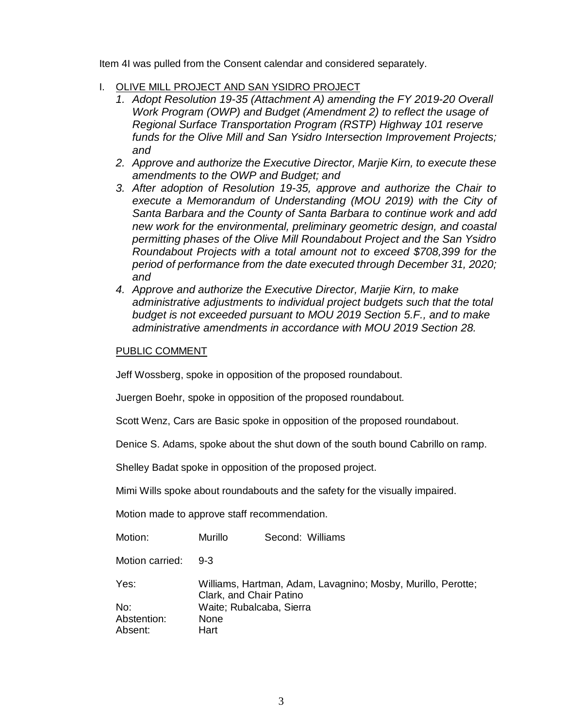Item 4I was pulled from the Consent calendar and considered separately.

- I. OLIVE MILL PROJECT AND SAN YSIDRO PROJECT
	- *1. Adopt Resolution 19-35 (Attachment A) amending the FY 2019-20 Overall Work Program (OWP) and Budget (Amendment 2) to reflect the usage of Regional Surface Transportation Program (RSTP) Highway 101 reserve funds for the Olive Mill and San Ysidro Intersection Improvement Projects; and*
	- *2. Approve and authorize the Executive Director, Marjie Kirn, to execute these amendments to the OWP and Budget; and*
	- *3. After adoption of Resolution 19-35, approve and authorize the Chair to execute a Memorandum of Understanding (MOU 2019) with the City of Santa Barbara and the County of Santa Barbara to continue work and add new work for the environmental, preliminary geometric design, and coastal permitting phases of the Olive Mill Roundabout Project and the San Ysidro Roundabout Projects with a total amount not to exceed \$708,399 for the period of performance from the date executed through December 31, 2020; and*
	- *4. Approve and authorize the Executive Director, Marjie Kirn, to make administrative adjustments to individual project budgets such that the total budget is not exceeded pursuant to MOU 2019 Section 5.F., and to make administrative amendments in accordance with MOU 2019 Section 28.*

# PUBLIC COMMENT

Jeff Wossberg, spoke in opposition of the proposed roundabout.

Juergen Boehr, spoke in opposition of the proposed roundabout.

Scott Wenz, Cars are Basic spoke in opposition of the proposed roundabout.

Denice S. Adams, spoke about the shut down of the south bound Cabrillo on ramp.

Shelley Badat spoke in opposition of the proposed project.

Mimi Wills spoke about roundabouts and the safety for the visually impaired.

Motion made to approve staff recommendation.

| Motion:         | Murillo                                                                                 | Second: Williams         |  |
|-----------------|-----------------------------------------------------------------------------------------|--------------------------|--|
| Motion carried: | $9 - 3$                                                                                 |                          |  |
| Yes:            | Williams, Hartman, Adam, Lavagnino; Mosby, Murillo, Perotte;<br>Clark, and Chair Patino |                          |  |
| No:             |                                                                                         | Waite; Rubalcaba, Sierra |  |
| Abstention:     | None                                                                                    |                          |  |
| Absent:         | Hart                                                                                    |                          |  |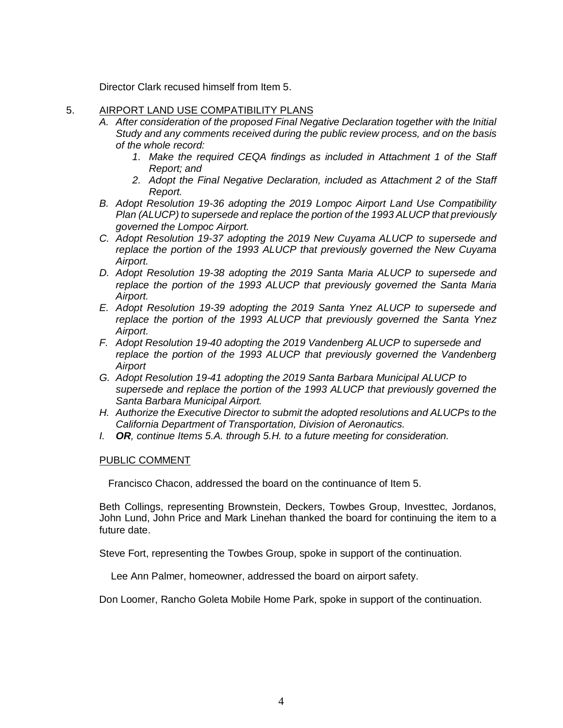Director Clark recused himself from Item 5.

### 5. AIRPORT LAND USE COMPATIBILITY PLANS

- *A. After consideration of the proposed Final Negative Declaration together with the Initial Study and any comments received during the public review process, and on the basis of the whole record:*
	- *1. Make the required CEQA findings as included in Attachment 1 of the Staff Report; and*
	- *2. Adopt the Final Negative Declaration, included as Attachment 2 of the Staff Report.*
- *B. Adopt Resolution 19-36 adopting the 2019 Lompoc Airport Land Use Compatibility Plan (ALUCP) to supersede and replace the portion of the 1993 ALUCP that previously governed the Lompoc Airport.*
- *C. Adopt Resolution 19-37 adopting the 2019 New Cuyama ALUCP to supersede and replace the portion of the 1993 ALUCP that previously governed the New Cuyama Airport.*
- *D. Adopt Resolution 19-38 adopting the 2019 Santa Maria ALUCP to supersede and replace the portion of the 1993 ALUCP that previously governed the Santa Maria Airport.*
- *E. Adopt Resolution 19-39 adopting the 2019 Santa Ynez ALUCP to supersede and replace the portion of the 1993 ALUCP that previously governed the Santa Ynez Airport.*
- *F. Adopt Resolution 19-40 adopting the 2019 Vandenberg ALUCP to supersede and replace the portion of the 1993 ALUCP that previously governed the Vandenberg Airport*
- *G. Adopt Resolution 19-41 adopting the 2019 Santa Barbara Municipal ALUCP to supersede and replace the portion of the 1993 ALUCP that previously governed the Santa Barbara Municipal Airport.*
- *H. Authorize the Executive Director to submit the adopted resolutions and ALUCPs to the California Department of Transportation, Division of Aeronautics.*
- *I. OR, continue Items 5.A. through 5.H. to a future meeting for consideration.*

# PUBLIC COMMENT

Francisco Chacon, addressed the board on the continuance of Item 5.

Beth Collings, representing Brownstein, Deckers, Towbes Group, Investtec, Jordanos, John Lund, John Price and Mark Linehan thanked the board for continuing the item to a future date.

Steve Fort, representing the Towbes Group, spoke in support of the continuation.

Lee Ann Palmer, homeowner, addressed the board on airport safety.

Don Loomer, Rancho Goleta Mobile Home Park, spoke in support of the continuation.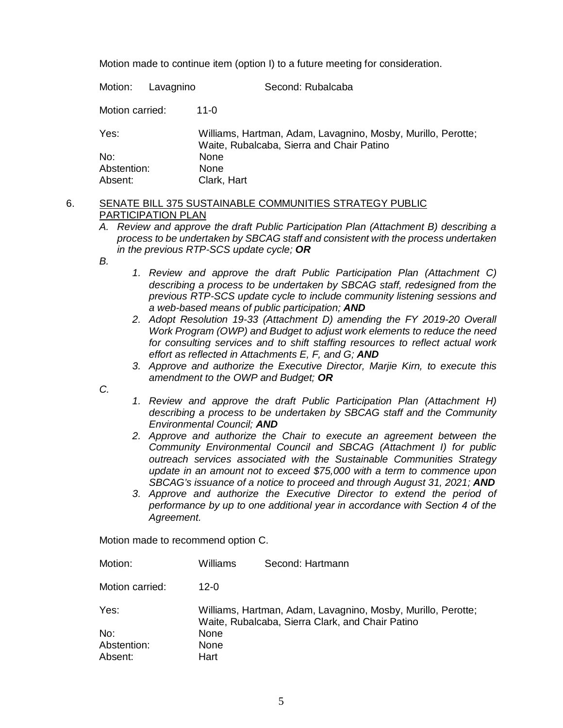Motion made to continue item (option I) to a future meeting for consideration.

Motion: Lavagnino Second: Rubalcaba Motion carried: 11-0 Yes: Williams, Hartman, Adam, Lavagnino, Mosby, Murillo, Perotte; Waite, Rubalcaba, Sierra and Chair Patino No: None Abstention: None Absent: Clark, Hart

# 6. SENATE BILL 375 SUSTAINABLE COMMUNITIES STRATEGY PUBLIC PARTICIPATION PLAN

- *A. Review and approve the draft Public Participation Plan (Attachment B) describing a process to be undertaken by SBCAG staff and consistent with the process undertaken in the previous RTP-SCS update cycle; OR*
- *B.*
- *1. Review and approve the draft Public Participation Plan (Attachment C) describing a process to be undertaken by SBCAG staff, redesigned from the previous RTP-SCS update cycle to include community listening sessions and a web-based means of public participation; AND*
- *2. Adopt Resolution 19-33 (Attachment D) amending the FY 2019-20 Overall Work Program (OWP) and Budget to adjust work elements to reduce the need for consulting services and to shift staffing resources to reflect actual work effort as reflected in Attachments E, F, and G; AND*
- *3. Approve and authorize the Executive Director, Marjie Kirn, to execute this amendment to the OWP and Budget; OR*

*C.*

- *1. Review and approve the draft Public Participation Plan (Attachment H) describing a process to be undertaken by SBCAG staff and the Community Environmental Council; AND*
- *2. Approve and authorize the Chair to execute an agreement between the Community Environmental Council and SBCAG (Attachment I) for public outreach services associated with the Sustainable Communities Strategy update in an amount not to exceed \$75,000 with a term to commence upon*  SBCAG's issuance of a notice to proceed and through August 31, 2021; **AND**
- *3. Approve and authorize the Executive Director to extend the period of performance by up to one additional year in accordance with Section 4 of the Agreement.*

Motion made to recommend option C.

| Motion:         | Williams                                                                                                         | Second: Hartmann |  |
|-----------------|------------------------------------------------------------------------------------------------------------------|------------------|--|
| Motion carried: | 12-0                                                                                                             |                  |  |
| Yes:            | Williams, Hartman, Adam, Lavagnino, Mosby, Murillo, Perotte;<br>Waite, Rubalcaba, Sierra Clark, and Chair Patino |                  |  |
| No:             | <b>None</b>                                                                                                      |                  |  |
| Abstention:     | None                                                                                                             |                  |  |
| Absent:         | Hart                                                                                                             |                  |  |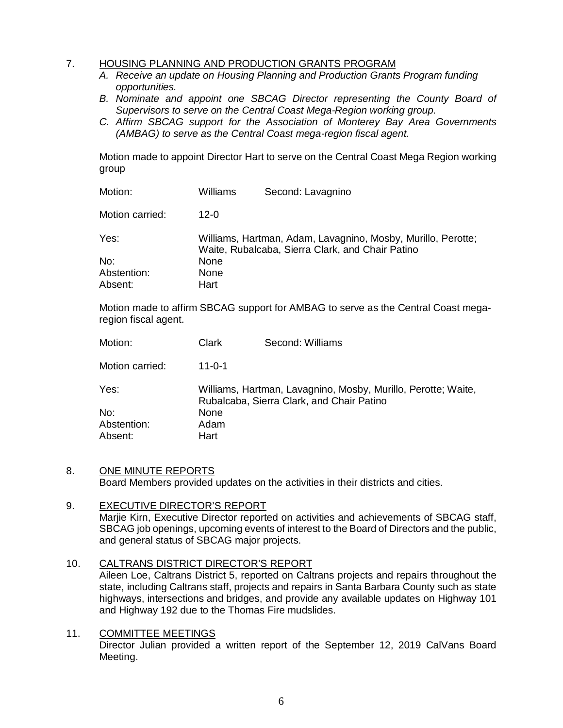# 7. HOUSING PLANNING AND PRODUCTION GRANTS PROGRAM

- *A. Receive an update on Housing Planning and Production Grants Program funding opportunities.*
- **B.** Nominate and appoint one SBCAG Director representing the County Board of *Supervisors to serve on the Central Coast Mega-Region working group.*
- *C. Affirm SBCAG support for the Association of Monterey Bay Area Governments (AMBAG) to serve as the Central Coast mega-region fiscal agent.*

Motion made to appoint Director Hart to serve on the Central Coast Mega Region working group

| Motion:         | Williams                                                                                                         | Second: Lavagnino |
|-----------------|------------------------------------------------------------------------------------------------------------------|-------------------|
| Motion carried: | $12 - 0$                                                                                                         |                   |
| Yes:            | Williams, Hartman, Adam, Lavagnino, Mosby, Murillo, Perotte;<br>Waite, Rubalcaba, Sierra Clark, and Chair Patino |                   |
| No:             | None                                                                                                             |                   |
| Abstention:     | None                                                                                                             |                   |
| Absent:         | Hart                                                                                                             |                   |

Motion made to affirm SBCAG support for AMBAG to serve as the Central Coast megaregion fiscal agent.

| Motion:         | Clark                                                                                                      | Second: Williams |
|-----------------|------------------------------------------------------------------------------------------------------------|------------------|
| Motion carried: | $11 - 0 - 1$                                                                                               |                  |
| Yes:            | Williams, Hartman, Lavagnino, Mosby, Murillo, Perotte; Waite,<br>Rubalcaba, Sierra Clark, and Chair Patino |                  |
| No:             | None                                                                                                       |                  |
| Abstention:     | Adam                                                                                                       |                  |
| Absent:         | Hart                                                                                                       |                  |

#### 8. ONE MINUTE REPORTS

Board Members provided updates on the activities in their districts and cities.

#### 9. EXECUTIVE DIRECTOR'S REPORT Marjie Kirn, Executive Director reported on activities and achievements of SBCAG staff, SBCAG job openings, upcoming events of interest to the Board of Directors and the public, and general status of SBCAG major projects.

#### 10. CALTRANS DISTRICT DIRECTOR'S REPORT

Aileen Loe, Caltrans District 5, reported on Caltrans projects and repairs throughout the state, including Caltrans staff, projects and repairs in Santa Barbara County such as state highways, intersections and bridges, and provide any available updates on Highway 101 and Highway 192 due to the Thomas Fire mudslides.

11. COMMITTEE MEETINGS Director Julian provided a written report of the September 12, 2019 CalVans Board Meeting.